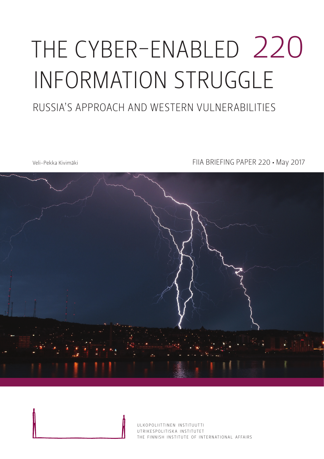# THE CYBER-ENABLED 220 INFORMATION STRUGGLE

### RUSSIA'S APPROACH AND WESTERN VULNERABILITIES

Veli-Pekka Kivimäki FIIA BRIEFING PAPER 220 • May 2017



ULKOPOLIITTINEN INSTITUUTTI UTRIKESPOLITISK A INSTITUTET THE FINNISH INSTITUTE OF INTERNATIONAL AFFAIRS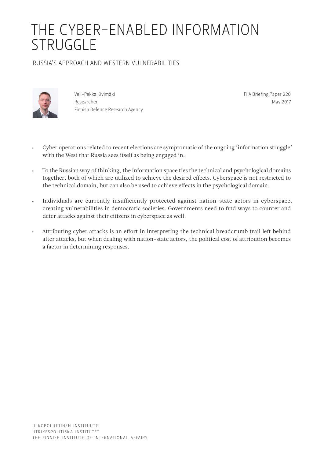## THE CYBER-ENABLED INFORMATION STRUGGLE

#### RUSSIA'S APPROACH AND WESTERN VULNERABILITIES



Veli-Pekka Kivimäki Researcher Finnish Defence Research Agency FIIA Briefing Paper 220 May 2017

- Cyber operations related to recent elections are symptomatic of the ongoing 'information struggle' with the West that Russia sees itself as being engaged in.
- To the Russian way of thinking, the information space ties the technical and psychological domains together, both of which are utilized to achieve the desired effects. Cyberspace is not restricted to the technical domain, but can also be used to achieve effects in the psychological domain.
- Individuals are currently insufficiently protected against nation-state actors in cyberspace, creating vulnerabilities in democratic societies. Governments need to find ways to counter and deter attacks against their citizens in cyberspace as well.
- Attributing cyber attacks is an effort in interpreting the technical breadcrumb trail left behind after attacks, but when dealing with nation-state actors, the political cost of attribution becomes a factor in determining responses.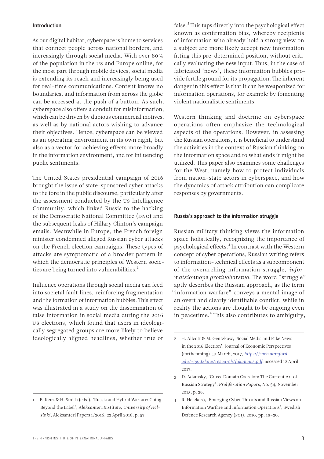#### Introduction

As our digital habitat, cyberspace is home to services that connect people across national borders, and increasingly through social media. With over 80% of the population in the US and Europe online, for the most part through mobile devices, social media is extending its reach and increasingly being used for real-time communications. Content knows no boundaries, and information from across the globe can be accessed at the push of a button. As such, cyberspace also offers a conduit for misinformation, which can be driven by dubious commercial motives, as well as by national actors wishing to advance their objectives. Hence, cyberspace can be viewed as an operating environment in its own right, but also as a vector for achieving effects more broadly in the information environment, and for influencing public sentiments.

The United States presidential campaign of 2016 brought the issue of state-sponsored cyber attacks to the fore in the public discourse, particularly after the assessment conducted by the US Intelligence Community, which linked Russia to the hacking of the Democratic National Committee (DNC) and the subsequent leaks of Hillary Clinton's campaign emails. Meanwhile in Europe, the French foreign minister condemned alleged Russian cyber attacks on the French election campaigns. These types of attacks are symptomatic of a broader pattern in which the democratic principles of Western societies are being turned into vulnerabilities.<sup>1</sup>

Influence operations through social media can feed into societal fault lines, reinforcing fragmentation and the formation of information bubbles. This effect was illustrated in a study on the dissemination of false information in social media during the 2016 US elections, which found that users in ideologically segregated groups are more likely to believe ideologically aligned headlines, whether true or

false.<sup>2</sup> This taps directly into the psychological effect known as confirmation bias, whereby recipients of information who already hold a strong view on a subject are more likely accept new information fitting this pre-determined position, without critically evaluating the new input. Thus, in the case of fabricated 'news', these information bubbles provide fertile ground for its propagation. The inherent danger in this effect is that it can be weaponized for information operations, for example by fomenting violent nationalistic sentiments.

Western thinking and doctrine on cyberspace operations often emphasize the technological aspects of the operations. However, in assessing the Russian operations, it is beneficial to understand the activities in the context of Russian thinking on the information space and to what ends it might be utilized. This paper also examines some challenges for the West, namely how to protect individuals from nation-state actors in cyberspace, and how the dynamics of attack attribution can complicate responses by governments.

#### Russia's approach to the information struggle

Russian military thinking views the information space holistically, recognizing the importance of psychological effects.<sup>3</sup> In contrast with the Western concept of cyber operations, Russian writing refers to information-technical effects as a subcomponent of the overarching information struggle, *informatsionnoye protivoborstvo*. The word "struggle" aptly describes the Russian approach, as the term "information warfare" conveys a mental image of an overt and clearly identifiable conflict, while in reality the actions are thought to be ongoing even in peacetime.<sup>4</sup> This also contributes to ambiguity,

<sup>1</sup> B. Renz & H. Smith (eds.), 'Russia and Hybrid Warfare: Going Beyond the Label', A*leksanteri Institute, University of Helsinki*, Aleksanteri Papers 1/2016, 22 April 2016, p. 57.

<sup>2</sup> H. Allcott & M. Gentzkow, 'Social Media and Fake News in the 2016 Election', Journal of Economic Perspectives (forthcoming), 31 March, 2017, *[https://web.stanford.](https://web.stanford.edu/~gentzkow/research/fakenews.pdf) [edu/~gentzkow/research/fakenews.pdf](https://web.stanford.edu/~gentzkow/research/fakenews.pdf)*, accessed 12 April 2017.

<sup>3</sup> D. Adamsky, 'Cross-Domain Coercion: The Current Art of Russian Strategy', *Proliferation Papers,* No. 54, November 2015, p. 29.

<sup>4</sup> R. Heickerö, 'Emerging Cyber Threats and Russian Views on Information Warfare and Information Operations', Swedish Defence Research Agency (FOI), 2010, pp. 18–20.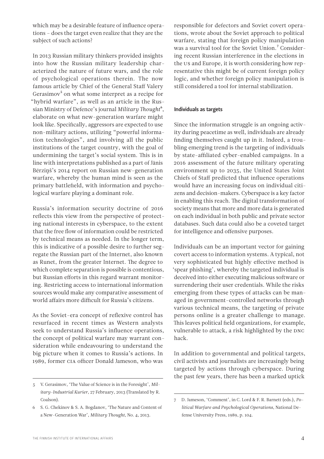which may be a desirable feature of influence operations – does the target even realize that they are the subject of such actions?

In 2013 Russian military thinkers provided insights into how the Russian military leadership characterized the nature of future wars, and the role of psychological operations therein. The now famous article by Chief of the General Staff Valery Gerasimov<sup>5</sup> on what some interpret as a recipe for "hybrid warfare", as well as an article in the Russian Ministry of Defence's journal *Military Thought<sup>6</sup>*, elaborate on what new-generation warfare might look like. Specifically, aggressors are expected to use non-military actions, utilizing "powerful information technologies", and involving all the public institutions of the target country, with the goal of undermining the target's social system. This is in line with interpretations published as a part of Jānis Bērziņš's 2014 report on Russian new-generation warfare, whereby the human mind is seen as the primary battlefield, with information and psychological warfare playing a dominant role.

Russia's information security doctrine of 2016 reflects this view from the perspective of protecting national interests in cyberspace, to the extent that the free flow of information could be restricted by technical means as needed. In the longer term, this is indicative of a possible desire to further segregate the Russian part of the Internet, also known as Runet, from the greater Internet. The degree to which complete separation is possible is contentious, but Russian efforts in this regard warrant monitoring. Restricting access to international information sources would make any comparative assessment of world affairs more difficult for Russia's citizens.

As the Soviet-era concept of reflexive control has resurfaced in recent times as Western analysts seek to understand Russia's influence operations, the concept of political warfare may warrant consideration while endeavouring to understand the big picture when it comes to Russia's actions. In 1989, former CIA officer Donald Jameson, who was

responsible for defectors and Soviet covert operations, wrote about the Soviet approach to political warfare, stating that foreign policy manipulation was a survival tool for the Soviet Union.<sup>7</sup> Considering recent Russian interference in the elections in the US and Europe, it is worth considering how representative this might be of current foreign policy logic, and whether foreign policy manipulation is still considered a tool for internal stabilization.

#### Individuals as targets

Since the information struggle is an ongoing activity during peacetime as well, individuals are already finding themselves caught up in it. Indeed, a troubling emerging trend is the targeting of individuals by state-affiliated cyber-enabled campaigns. In a 2016 assessment of the future military operating environment up to 2035, the United States Joint Chiefs of Staff predicted that influence operations would have an increasing focus on individual citizens and decision-makers. Cyberspace is a key factor in enabling this reach. The digital transformation of society means that more and more data is generated on each individual in both public and private sector databases. Such data could also be a coveted target for intelligence and offensive purposes.

Individuals can be an important vector for gaining covert access to information systems. A typical, not very sophisticated but highly effective method is 'spear phishing', whereby the targeted individual is deceived into either executing malicious software or surrendering their user credentials. While the risks emerging from these types of attacks can be managed in government-controlled networks through various technical means, the targeting of private persons online is a greater challenge to manage. This leaves political field organizations, for example, vulnerable to attack, a risk highlighted by the DNC hack.

In addition to governmental and political targets, civil activists and journalists are increasingly being targeted by actions through cyberspace. During the past few years, there has been a marked uptick

<sup>5</sup> V. Gerasimov, 'The Value of Science is in the Foresight', *Military-Industrial Kurier*, 27 February, 2013 (Translated by R. Coalson).

<sup>6</sup> S. G. Chekinov & S. A. Bogdanov, 'The Nature and Content of a New-Generation War', *Military Thought*, No. 4, 2013.

<sup>7</sup> D. Jameson, 'Comment', in C. Lord & F. R. Barnett (eds.), *Political Warfare and Psychological Operations*, National Defense University Press, 1989, p. 104.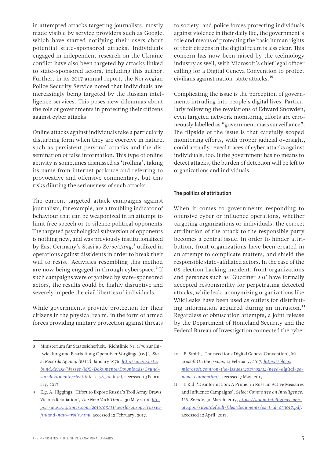in attempted attacks targeting journalists, mostly made visible by service providers such as Google, which have started notifying their users about potential state-sponsored attacks. Individuals engaged in independent research on the Ukraine conflict have also been targeted by attacks linked to state-sponsored actors, including this author. Further, in its 2017 annual report, the Norwegian Police Security Service noted that individuals are increasingly being targeted by the Russian intelligence services. This poses new dilemmas about the role of governments in protecting their citizens against cyber attacks.

Online attacks against individuals take a particularly disturbing form when they are coercive in nature, such as persistent personal attacks and the dissemination of false information. This type of online activity is sometimes dismissed as 'trolling', taking its name from internet parlance and referring to provocative and offensive commentary, but this risks diluting the seriousness of such attacks.

The current targeted attack campaigns against journalists, for example, are a troubling indicator of behaviour that can be weaponized in an attempt to limit free speech or to silence political opponents. The targeted psychological subversion of opponents is nothing new, and was previously institutionalized by East Germany's Stasi as Zersetzung,<sup>8</sup> utilized in operations against dissidents in order to break their will to resist. Activities resembling this method are now being engaged in through cyberspace.<sup>9</sup> If such campaigns were organized by state-sponsored actors, the results could be highly disruptive and severely impede the civil liberties of individuals.

While governments provide protection for their citizens in the physical realm, in the form of armed forces providing military protection against threats to society, and police forces protecting individuals against violence in their daily life, the government's role and means of protecting the basic human rights of their citizens in the digital realm is less clear. This concern has now been raised by the technology industry as well, with Microsoft's chief legal officer calling for a Digital Geneva Convention to protect civilians against nation-state attacks.10

Complicating the issue is the perception of governments intruding into people's digital lives. Particularly following the revelations of Edward Snowden, even targeted network monitoring efforts are erroneously labelled as "government mass surveillance". The flipside of the issue is that carefully scoped monitoring efforts, with proper judicial oversight, could actually reveal traces of cyber attacks against individuals, too. If the government has no means to detect attacks, the burden of detection will be left to organizations and individuals.

#### The politics of attribution

When it comes to governments responding to offensive cyber or influence operations, whether targeting organizations or individuals, the correct attribution of the attack to the responsible party becomes a central issue. In order to hinder attribution, front organizations have been created in an attempt to complicate matters, and shield the responsible state-affiliated actors. In the case of the US election hacking incident, front organizations and personas such as 'Guccifier 2.0' have formally accepted responsibility for perpetrating detected attacks, while leak-anonymizing organizations like WikiLeaks have been used as outlets for distributing information acquired during an intrusion. $^{11}$ Regardless of obfuscation attempts, a joint release by the Department of Homeland Security and the Federal Bureau of Investigation connected the cyber

<sup>8</sup> Ministerium für Staatssicherheit, 'Richtlinie Nr. 1/76 zur Entwicklung und Bearbeitung Operativer Vorgänge (OV)', *Stasi Records Agency (BStU)*, January 1976, *[http://www.bstu.](http://www.bstu.bund.de/DE/Wissen/MfS-Dokumente/Downloads/Grundsatzdokumente/richtlinie-1-76_ov.html) [bund.de/DE/Wissen/MfS-Dokumente/Downloads/Grund](http://www.bstu.bund.de/DE/Wissen/MfS-Dokumente/Downloads/Grundsatzdokumente/richtlinie-1-76_ov.html)[satzdokumente/richtlinie-1-76\\_ov.html](http://www.bstu.bund.de/DE/Wissen/MfS-Dokumente/Downloads/Grundsatzdokumente/richtlinie-1-76_ov.html)*, accessed 13 February, 2017.

<sup>9</sup> E.g. A. Higgings, 'Effort to Expose Russia's Troll Army Draws Vicious Retaliation', *The New York Times*, 30 May 2016, *[htt](https://www.nytimes.com/2016/05/31/world/europe/russia-finland-nato-trolls.html)[ps://www.nytimes.com/2016/05/31/world/europe/russia](https://www.nytimes.com/2016/05/31/world/europe/russia-finland-nato-trolls.html)[finland-nato-trolls.html](https://www.nytimes.com/2016/05/31/world/europe/russia-finland-nato-trolls.html)*, accessed 13 February, 2017.

<sup>10</sup> B. Smith, 'The need for a Digital Geneva Convention', M*icrosoft On the Issues*, 14 February, 2017, *[https://blogs.](https://blogs.microsoft.com/on-the-issues/2017/02/14/need-digital-geneva-convention/) [microsoft.com/on-the-issues/2017/02/14/need-digital-ge](https://blogs.microsoft.com/on-the-issues/2017/02/14/need-digital-geneva-convention/)[neva-convention/](https://blogs.microsoft.com/on-the-issues/2017/02/14/need-digital-geneva-convention/)*, accessed 7 May, 2017.

<sup>11</sup> T. Rid, 'Disinformation: A Primer in Russian Active Measures and Influence Campaigns', *Select Committee on Intelligence, U.S. Senate*, 30 March, 2017, *[https://www.intelligence.sen](https://www.intelligence.senate.gov/sites/default/files/documents/os-trid-033017.pdf)[ate.gov/sites/default/files/documents/os-trid-033017.pdf](https://www.intelligence.senate.gov/sites/default/files/documents/os-trid-033017.pdf)*, accessed 12 April, 2017.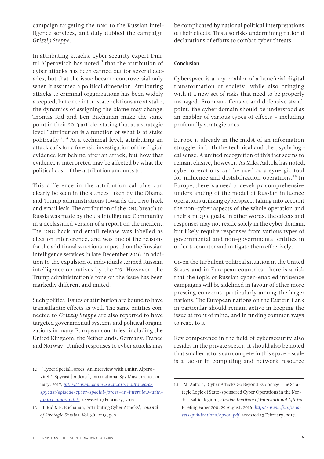campaign targeting the DNC to the Russian intelligence services, and duly dubbed the campaign *Grizzly Steppe*.

In attributing attacks, cyber security expert Dmitri Alperovitch has noted $12$  that the attribution of cyber attacks has been carried out for several decades, but that the issue became controversial only when it assumed a political dimension. Attributing attacks to criminal organizations has been widely accepted, but once inter-state relations are at stake, the dynamics of assigning the blame may change. Thomas Rid and Ben Buchanan make the same point in their 2013 article, stating that at a strategic level "attribution is a function of what is at stake politically".13 At a technical level, attributing an attack calls for a forensic investigation of the digital evidence left behind after an attack, but how that evidence is interpreted may be affected by what the political cost of the attribution amounts to.

This difference in the attribution calculus can clearly be seen in the stances taken by the Obama and Trump administrations towards the DNC hack and email leak. The attribution of the DNC breach to Russia was made by the US Intelligence Community in a declassified version of a report on the incident. The DNC hack and email release was labelled as election interference, and was one of the reasons for the additional sanctions imposed on the Russian intelligence services in late December 2016, in addition to the expulsion of individuals termed Russian intelligence operatives by the US. However, the Trump administration's tone on the issue has been markedly different and muted.

Such political issues of attribution are bound to have transatlantic effects as well. The same entities connected to *Grizzly Steppe* are also reported to have targeted governmental systems and political organizations in many European countries, including the United Kingdom, the Netherlands, Germany, France and Norway. Unified responses to cyber attacks may

be complicated by national political interpretations of their effects. This also risks undermining national declarations of efforts to combat cyber threats.

#### **Conclusion**

Cyberspace is a key enabler of a beneficial digital transformation of society, while also bringing with it a new set of risks that need to be properly managed. From an offensive and defensive standpoint, the cyber domain should be understood as an enabler of various types of effects – including profoundly strategic ones.

Europe is already in the midst of an information struggle, in both the technical and the psychological sense. A unified recognition of this fact seems to remain elusive, however. As Mika Aaltola has noted, cyber operations can be used as a synergic tool for influence and destabilization operations.<sup>14</sup> In Europe, there is a need to develop a comprehensive understanding of the model of Russian influence operations utilizing cyberspace, taking into account the non-cyber aspects of the whole operation and their strategic goals. In other words, the effects and responses may not reside solely in the cyber domain, but likely require responses from various types of governmental and non-governmental entities in order to counter and mitigate them effectively.

Given the turbulent political situation in the United States and in European countries, there is a risk that the topic of Russian cyber-enabled influence campaigns will be sidelined in favour of other more pressing concerns, particularly among the larger nations. The European nations on the Eastern flank in particular should remain active in keeping the issue at front of mind, and in finding common ways to react to it.

Key competence in the field of cybersecurity also resides in the private sector. It should also be noted that smaller actors can compete in this space – scale is a factor in computing and network resource

<sup>12 &#</sup>x27;Cyber Special Forces: An Interview with Dmitri Alperovitch', Spycast [podcast], International Spy Museum, 10 January, 2017, *[https://www.spymuseum.org/multimedia/](https://www.spymuseum.org/multimedia/spycast/episode/cyber-special-forces-an-interview-with-dmitri-alperovitch) [spycast/episode/cyber-special-forces-an-interview-with](https://www.spymuseum.org/multimedia/spycast/episode/cyber-special-forces-an-interview-with-dmitri-alperovitch)[dmitri-alperovitch](https://www.spymuseum.org/multimedia/spycast/episode/cyber-special-forces-an-interview-with-dmitri-alperovitch)*, accessed 13 February, 2017.

<sup>13</sup> T. Rid & B. Buchanan, 'Attributing Cyber Attacks', *Journal of Strategic Studies*, Vol. 38, 2015, p. 7.

<sup>14</sup> M. Aaltola, 'Cyber Attacks Go Beyond Espionage: The Strategic Logic of State-sponsored Cyber Operations in the Nordic-Baltic Region', *Finnish Institute of International Affairs*, Briefing Paper 200, 29 August, 2016, *[http://www.fiia.fi/as](http://www.fiia.fi/assets/publications/bp200.pdf)[sets/publications/bp200.pdf](http://www.fiia.fi/assets/publications/bp200.pdf)*, accessed 13 February, 2017.